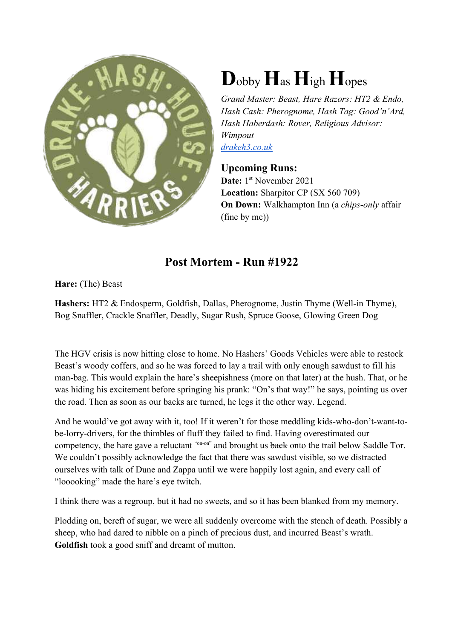

## **D**obby**H**as **H**igh**H**opes

*Grand Master: Beast, Hare Razors: HT2 & Endo, Hash Cash: Pherognome, Hash Tag: Good'n'Ard, Hash Haberdash: Rover, Religious Advisor: Wimpout drakeh3.co.uk*

## **Upcoming Runs:**

Date: 1<sup>st</sup> November 2021 **Location:** Sharpitor CP (SX 560 709) **On Down:** Walkhampton Inn (a *chips-only* affair (fine by me))

## **Post Mortem - Run #1922**

**Hare:** (The) Beast

**Hashers:** HT2 & Endosperm, Goldfish, Dallas, Pherognome, Justin Thyme (Well-in Thyme), Bog Snaffler, Crackle Snaffler, Deadly, Sugar Rush, Spruce Goose, Glowing Green Dog

The HGV crisis is now hitting close to home. No Hashers' Goods Vehicles were able to restock Beast's woody coffers, and so he was forced to lay a trail with only enough sawdust to fill his man-bag. This would explain the hare's sheepishness (more on that later) at the hush. That, or he was hiding his excitement before springing his prank: "On's that way!" he says, pointing us over the road. Then as soon as our backs are turned, he legs it the other way. Legend.

And he would've got away with it, too! If it weren't for those meddling kids-who-don't-want-tobe-lorry-drivers, for the thimbles of fluff they failed to find. Having overestimated our competency, the hare gave a reluctant "on-on" and brought us back onto the trail below Saddle Tor. We couldn't possibly acknowledge the fact that there was sawdust visible, so we distracted ourselves with talk of Dune and Zappa until we were happily lost again, and every call of "looooking" made the hare's eye twitch.

I think there was a regroup, but it had no sweets, and so it has been blanked from my memory.

Plodding on, bereft of sugar, we were all suddenly overcome with the stench of death. Possibly a sheep, who had dared to nibble on a pinch of precious dust, and incurred Beast's wrath. **Goldfish** took a good sniff and dreamt of mutton.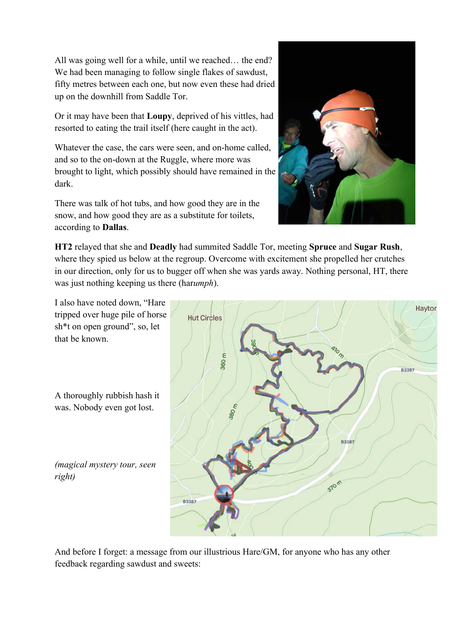All was going well for a while, until we reached… the end? We had been managing to follow single flakes of sawdust, fifty metres between each one, but now even these had dried up on the downhill from Saddle Tor.

Or it may have been that **Loupy**, deprived of his vittles, had resorted to eating the trail itself (here caught in the act).

Whatever the case, the cars were seen, and on-home called, and so to the on-down at the Ruggle, where more was brought to light, which possibly should have remained in the dark.

There was talk of hot tubs, and how good they are in the snow, and how good they are as a substitute for toilets, according to **Dallas**.



**HT2** relayed that she and **Deadly** had summited Saddle Tor, meeting **Spruce** and **Sugar Rush**, where they spied us below at the regroup. Overcome with excitement she propelled her crutches in our direction, only for us to bugger off when she was yards away. Nothing personal, HT, there was just nothing keeping us there (har*umph*).

I also have noted down, "Hare tripped over huge pile of horse sh\*t on open ground", so, let that be known.

A thoroughly rubbish hash it was. Nobody even got lost.

*(magical mystery tour, seen right)*



And before I forget: a message from our illustrious Hare/GM, for anyone who has any other feedback regarding sawdust and sweets: